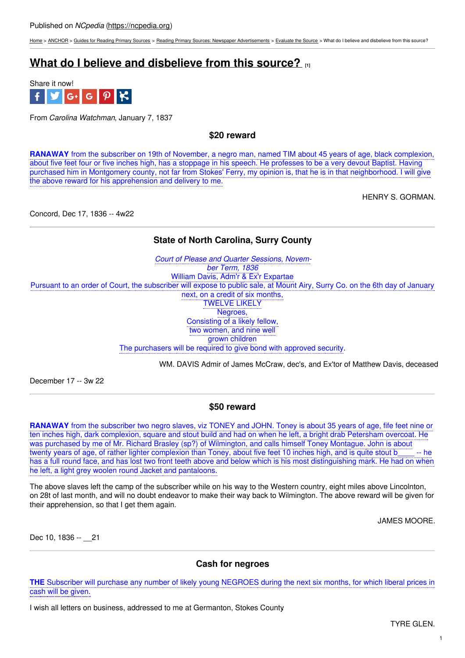[Home](https://ncpedia.org/) > [ANCHOR](https://ncpedia.org/anchor/anchor) > Guides for [Reading](https://ncpedia.org/anchor/guides-reading-primary) Primary Sources > Reading Primary Sources: Newspaper [Advertisements](https://ncpedia.org/anchor/reading-primary-sources-3) > [Evaluate](https://ncpedia.org/anchor/evaluate-source) the Source > What do I believe and disbelieve from this source?

# **What do I believe and [disbelieve](https://ncpedia.org/anchor/what-do-i-believe-and-0) from this source? [1]**



From *Carolina Watchman*, January 7, 1837

**\$20 reward**

**RANAWAY** from the subscriber on 19th of November, a negro man, named TIM about 45 years of age, black complexion, about five feet four or five inches high, has a stoppage in his speech. He professes to be a very devout Baptist. Having purchased him in Montgomery county, not far from Stokes' Ferry, my opinion is, that he is in that neighborhood. I will give the above reward for his apprehension and delivery to me.

HENRY S. GORMAN.

Concord, Dec 17, 1836 -- 4w22

# **State of North Carolina, Surry County**

*Court of Please and Quarter Sessions, November Term, 1836* William Davis, Adm'r & Ex'r Expartae Pursuant to an order of Court, the subscriber will expose to public sale, at Mount Airy, Surry Co. on the 6th day of January next, on a credit of six months, TWELVE LIKELY Negroes, Consisting of a likely fellow, two women, and nine well grown children The purchasers will be required to give bond with approved security.

WM. DAVIS Admir of James McCraw, dec's, and Ex'tor of Matthew Davis, deceased

December 17 -- 3w 22

## **\$50 reward**

**RANAWAY** from the subscriber two negro slaves, viz TONEY and JOHN. Toney is about 35 years of age, fife feet nine or ten inches high, dark complexion, square and stout build and had on when he left, a bright drab Petersham overcoat. He was purchased by me of Mr. Richard Brasley (sp?) of Wilmington, and calls himself Toney Montague. John is about twenty years of age, of rather lighter complexion than Toney, about five feet 10 inches high, and is quite stout b\_\_\_\_ -- he has a full round face, and has lost two front teeth above and below which is his most distinguishing mark. He had on when he left, a light grey woolen round Jacket and pantaloons.

The above slaves left the camp of the subscriber while on his way to the Western country, eight miles above Lincolnton, on 28t of last month, and will no doubt endeavor to make their way back to Wilmington. The above reward will be given for their apprehension, so that I get them again.

JAMES MOORE.

Dec 10, 1836 -- 21

## **Cash for negroes**

**THE** Subscriber will purchase any number of likely young NEGROES during the next six months, for which liberal prices in cash will be given.

I wish all letters on business, addressed to me at Germanton, Stokes County.